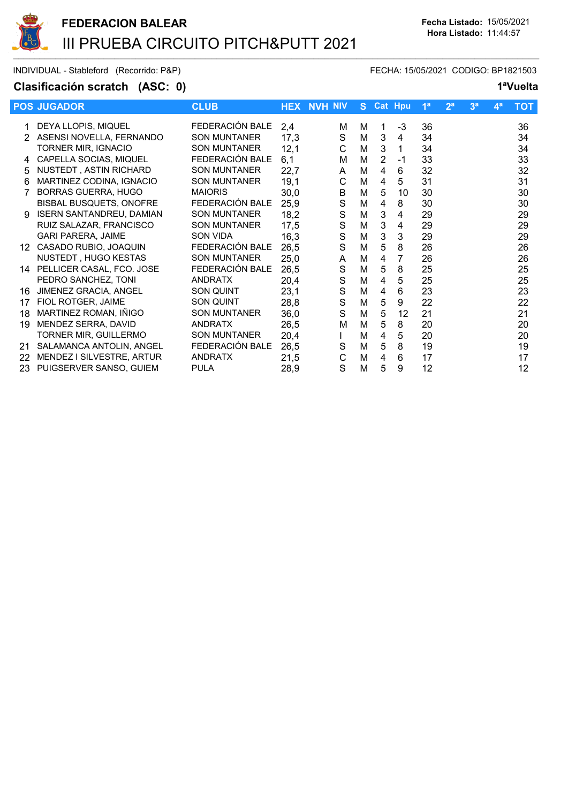

INDIVIDUAL - Stableford (Recorrido: P&P) FECHA: 15/05/2021 CODIGO: BP1821503

## Clasificación scratch (ASC: 0) 1<sup>a</sup>Vuelta

|                           | <b>CLUB</b>                                                                                                                                                                                                                                                                                                                                                                                                              |                                                                                                                                                                                                                                                                                            | <b>NVH NIV</b>                                                                                                                     | S.                                                                                                                                 |                                                                    |                                                                          | 1 <sup>a</sup>                                                                     | 2 <sup>a</sup>                                                                         | 3 <sup>a</sup> | 4 <sup>a</sup> | <b>TOT</b> |
|---------------------------|--------------------------------------------------------------------------------------------------------------------------------------------------------------------------------------------------------------------------------------------------------------------------------------------------------------------------------------------------------------------------------------------------------------------------|--------------------------------------------------------------------------------------------------------------------------------------------------------------------------------------------------------------------------------------------------------------------------------------------|------------------------------------------------------------------------------------------------------------------------------------|------------------------------------------------------------------------------------------------------------------------------------|--------------------------------------------------------------------|--------------------------------------------------------------------------|------------------------------------------------------------------------------------|----------------------------------------------------------------------------------------|----------------|----------------|------------|
|                           |                                                                                                                                                                                                                                                                                                                                                                                                                          |                                                                                                                                                                                                                                                                                            |                                                                                                                                    |                                                                                                                                    |                                                                    |                                                                          |                                                                                    |                                                                                        |                |                | 36         |
|                           |                                                                                                                                                                                                                                                                                                                                                                                                                          |                                                                                                                                                                                                                                                                                            |                                                                                                                                    |                                                                                                                                    |                                                                    |                                                                          |                                                                                    |                                                                                        |                |                | 34         |
|                           |                                                                                                                                                                                                                                                                                                                                                                                                                          |                                                                                                                                                                                                                                                                                            |                                                                                                                                    |                                                                                                                                    |                                                                    |                                                                          |                                                                                    |                                                                                        |                |                | 34         |
|                           |                                                                                                                                                                                                                                                                                                                                                                                                                          |                                                                                                                                                                                                                                                                                            |                                                                                                                                    |                                                                                                                                    |                                                                    |                                                                          |                                                                                    |                                                                                        |                |                | 33         |
|                           |                                                                                                                                                                                                                                                                                                                                                                                                                          |                                                                                                                                                                                                                                                                                            |                                                                                                                                    |                                                                                                                                    |                                                                    |                                                                          |                                                                                    |                                                                                        |                |                | 32         |
|                           |                                                                                                                                                                                                                                                                                                                                                                                                                          |                                                                                                                                                                                                                                                                                            |                                                                                                                                    |                                                                                                                                    |                                                                    |                                                                          |                                                                                    |                                                                                        |                |                |            |
|                           |                                                                                                                                                                                                                                                                                                                                                                                                                          |                                                                                                                                                                                                                                                                                            |                                                                                                                                    |                                                                                                                                    |                                                                    |                                                                          |                                                                                    |                                                                                        |                |                | 31         |
|                           |                                                                                                                                                                                                                                                                                                                                                                                                                          |                                                                                                                                                                                                                                                                                            |                                                                                                                                    |                                                                                                                                    |                                                                    |                                                                          |                                                                                    |                                                                                        |                |                | 30         |
|                           |                                                                                                                                                                                                                                                                                                                                                                                                                          |                                                                                                                                                                                                                                                                                            |                                                                                                                                    |                                                                                                                                    |                                                                    |                                                                          |                                                                                    |                                                                                        |                |                | 30         |
|                           |                                                                                                                                                                                                                                                                                                                                                                                                                          |                                                                                                                                                                                                                                                                                            |                                                                                                                                    |                                                                                                                                    |                                                                    |                                                                          |                                                                                    |                                                                                        |                |                | 29         |
|                           |                                                                                                                                                                                                                                                                                                                                                                                                                          |                                                                                                                                                                                                                                                                                            |                                                                                                                                    |                                                                                                                                    |                                                                    |                                                                          |                                                                                    |                                                                                        |                |                | 29         |
|                           |                                                                                                                                                                                                                                                                                                                                                                                                                          |                                                                                                                                                                                                                                                                                            |                                                                                                                                    |                                                                                                                                    |                                                                    |                                                                          |                                                                                    |                                                                                        |                |                | 29         |
|                           |                                                                                                                                                                                                                                                                                                                                                                                                                          |                                                                                                                                                                                                                                                                                            |                                                                                                                                    |                                                                                                                                    |                                                                    |                                                                          |                                                                                    |                                                                                        |                |                | 26         |
|                           |                                                                                                                                                                                                                                                                                                                                                                                                                          |                                                                                                                                                                                                                                                                                            | A                                                                                                                                  |                                                                                                                                    | 4                                                                  | 7                                                                        |                                                                                    |                                                                                        |                |                | 26         |
|                           |                                                                                                                                                                                                                                                                                                                                                                                                                          | 26,5                                                                                                                                                                                                                                                                                       |                                                                                                                                    | M                                                                                                                                  |                                                                    | 8                                                                        | 25                                                                                 |                                                                                        |                |                | 25         |
| PEDRO SANCHEZ, TONI       | <b>ANDRATX</b>                                                                                                                                                                                                                                                                                                                                                                                                           | 20,4                                                                                                                                                                                                                                                                                       | $\mathbf S$                                                                                                                        | M                                                                                                                                  | 4                                                                  | 5                                                                        | 25                                                                                 |                                                                                        |                |                | 25         |
| JIMENEZ GRACIA, ANGEL     | SON QUINT                                                                                                                                                                                                                                                                                                                                                                                                                | 23,1                                                                                                                                                                                                                                                                                       | $\mathsf S$                                                                                                                        | M                                                                                                                                  | 4                                                                  | 6                                                                        | 23                                                                                 |                                                                                        |                |                | 23         |
| FIOL ROTGER, JAIME        | SON QUINT                                                                                                                                                                                                                                                                                                                                                                                                                | 28,8                                                                                                                                                                                                                                                                                       | $\mathsf S$                                                                                                                        | M                                                                                                                                  | 5                                                                  | 9                                                                        | 22                                                                                 |                                                                                        |                |                | 22         |
| MARTINEZ ROMAN, IÑIGO     | <b>SON MUNTANER</b>                                                                                                                                                                                                                                                                                                                                                                                                      | 36,0                                                                                                                                                                                                                                                                                       | S                                                                                                                                  | M                                                                                                                                  | 5                                                                  | 12                                                                       | 21                                                                                 |                                                                                        |                |                | 21         |
| MENDEZ SERRA, DAVID       | <b>ANDRATX</b>                                                                                                                                                                                                                                                                                                                                                                                                           |                                                                                                                                                                                                                                                                                            | Μ                                                                                                                                  | M                                                                                                                                  | 5                                                                  | 8                                                                        |                                                                                    |                                                                                        |                |                | 20         |
| TORNER MIR, GUILLERMO     | <b>SON MUNTANER</b>                                                                                                                                                                                                                                                                                                                                                                                                      |                                                                                                                                                                                                                                                                                            |                                                                                                                                    | M                                                                                                                                  | 4                                                                  | 5                                                                        | 20                                                                                 |                                                                                        |                |                | 20         |
| SALAMANCA ANTOLIN, ANGEL  | FEDERACIÓN BALE                                                                                                                                                                                                                                                                                                                                                                                                          |                                                                                                                                                                                                                                                                                            |                                                                                                                                    |                                                                                                                                    | 5                                                                  |                                                                          |                                                                                    |                                                                                        |                |                | 19         |
| MENDEZ I SILVESTRE, ARTUR | <b>ANDRATX</b>                                                                                                                                                                                                                                                                                                                                                                                                           |                                                                                                                                                                                                                                                                                            | C                                                                                                                                  | M                                                                                                                                  | 4                                                                  | 6                                                                        | 17                                                                                 |                                                                                        |                |                | 17         |
| PUIGSERVER SANSO, GUIEM   | <b>PULA</b>                                                                                                                                                                                                                                                                                                                                                                                                              | 28,9                                                                                                                                                                                                                                                                                       | S                                                                                                                                  | M                                                                                                                                  | 5                                                                  | 9                                                                        | 12                                                                                 |                                                                                        |                |                | 12         |
|                           | <b>POS JUGADOR</b><br>DEYA LLOPIS, MIQUEL<br>ASENSI NOVELLA, FERNANDO<br>TORNER MIR, IGNACIO<br>CAPELLA SOCIAS, MIQUEL<br>NUSTEDT, ASTIN RICHARD<br>MARTINEZ CODINA, IGNACIO<br><b>BORRAS GUERRA, HUGO</b><br>BISBAL BUSQUETS, ONOFRE<br><b>ISERN SANTANDREU, DAMIAN</b><br>RUIZ SALAZAR, FRANCISCO<br><b>GARI PARERA, JAIME</b><br>CASADO RUBIO, JOAQUIN<br>12.<br>NUSTEDT, HUGO KESTAS<br>14 PELLICER CASAL, FCO. JOSE | FEDERACIÓN BALE<br><b>SON MUNTANER</b><br><b>SON MUNTANER</b><br>FEDERACIÓN BALE<br><b>SON MUNTANER</b><br><b>SON MUNTANER</b><br><b>MAIORIS</b><br>FEDERACIÓN BALE<br><b>SON MUNTANER</b><br><b>SON MUNTANER</b><br>SON VIDA<br>FEDERACIÓN BALE<br><b>SON MUNTANER</b><br>FEDERACIÓN BALE | 2,4<br>17,3<br>12,1<br>6,1<br>22,7<br>19,1<br>30,0<br>25,9<br>18,2<br>17,5<br>16,3<br>26,5<br>25,0<br>26,5<br>20,4<br>26,5<br>21,5 | <b>HEX</b><br>м<br>S<br>C<br>М<br>A<br>C<br>B<br>S<br>$\mathbf S$<br>$\mathbf S$<br>$\mathsf S$<br>S<br>$\mathbf S$<br>$\mathbf S$ | м<br>M<br>M<br>M<br>M<br>M<br>M<br>M<br>M<br>M<br>M<br>M<br>M<br>M | 1<br>3<br>3<br>2<br>4<br>4<br>5<br>4<br>3<br>$\mathbf{3}$<br>3<br>5<br>5 | <b>Cat Hpu</b><br>-3<br>4<br>1<br>-1<br>6<br>5<br>10<br>8<br>4<br>4<br>3<br>8<br>8 | 36<br>34<br>34<br>33<br>32<br>31<br>30<br>30<br>29<br>29<br>29<br>26<br>26<br>20<br>19 |                |                |            |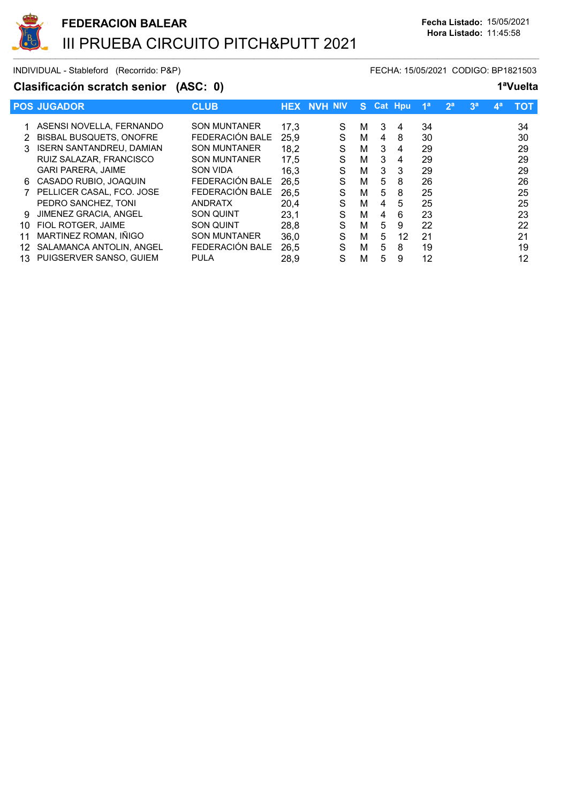

INDIVIDUAL - Stableford (Recorrido: P&P) FECHA: 15/05/2021 CODIGO: BP1821503

### Clasificación scratch senior (ASC: 0) 1<sup>a</sup>Vuelta

|     | <b>POS JUGADOR</b>              | <b>CLUB</b>         |      | <b>HEX NVH NIV</b> | S. |   | <b>Cat Hpu</b> | 1 <sup>a</sup> | 2 <sup>a</sup> | 3 <sup>a</sup> | $\mathbf{A}^{\mathbf{a}}$ | тот |
|-----|---------------------------------|---------------------|------|--------------------|----|---|----------------|----------------|----------------|----------------|---------------------------|-----|
|     | 1 ASENSI NOVELLA, FERNANDO      | <b>SON MUNTANER</b> | 17,3 | S                  | м  | 3 | 4              | 34             |                |                |                           | 34  |
|     |                                 | FEDERACIÓN BALE     |      |                    |    |   |                |                |                |                |                           |     |
| 2   | <b>BISBAL BUSQUETS, ONOFRE</b>  |                     | 25,9 | S                  | м  | 4 | 8              | 30             |                |                |                           | 30  |
| 3   | <b>ISERN SANTANDREU, DAMIAN</b> | <b>SON MUNTANER</b> | 18,2 | S                  | м  | 3 | 4              | 29             |                |                |                           | 29  |
|     | RUIZ SALAZAR, FRANCISCO         | <b>SON MUNTANER</b> | 17,5 | S                  | М  | 3 | 4              | 29             |                |                |                           | 29  |
|     | <b>GARI PARERA, JAIME</b>       | <b>SON VIDA</b>     | 16,3 | S                  | М  | 3 | 3              | 29             |                |                |                           | 29  |
| 6.  | CASADO RUBIO, JOAQUIN           | FEDERACIÓN BALE     | 26.5 | S                  | м  | 5 | 8              | 26             |                |                |                           | 26  |
|     | PELLICER CASAL, FCO. JOSE       | FEDERACIÓN BALE     | 26.5 | S                  | М  | 5 | 8              | 25             |                |                |                           | 25  |
|     | PEDRO SANCHEZ, TONI             | <b>ANDRATX</b>      | 20.4 | S                  | м  | 4 | 5              | 25             |                |                |                           | 25  |
| 9   | <b>JIMENEZ GRACIA, ANGEL</b>    | <b>SON QUINT</b>    | 23,1 | S                  | М  | 4 | 6              | 23             |                |                |                           | 23  |
| 10  | FIOL ROTGER, JAIME              | <b>SON QUINT</b>    | 28,8 | S                  | м  | 5 | 9              | 22             |                |                |                           | 22  |
| 11  | MARTINEZ ROMAN, IÑIGO           | <b>SON MUNTANER</b> | 36,0 | S                  | М  | 5 | 12             | 21             |                |                |                           | 21  |
| 12  | SALAMANCA ANTOLIN. ANGEL        | FEDERACIÓN BALE     | 26,5 | S                  | М  | 5 | 8              | 19             |                |                |                           | 19  |
| 13. | PUIGSERVER SANSO, GUIEM         | <b>PULA</b>         | 28,9 | S                  | M  | 5 | 9              | 12             |                |                |                           | 12  |